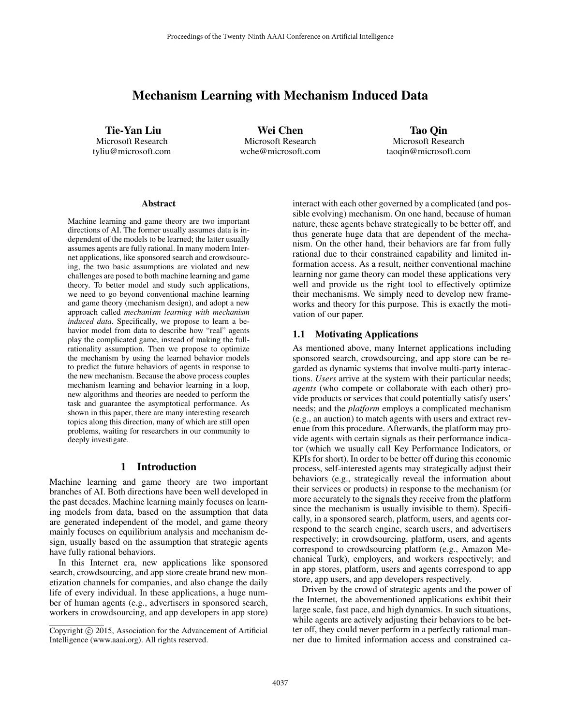# Mechanism Learning with Mechanism Induced Data

Tie-Yan Liu Microsoft Research tyliu@microsoft.com

Wei Chen Microsoft Research wche@microsoft.com

Tao Qin Microsoft Research taoqin@microsoft.com

#### **Abstract**

Machine learning and game theory are two important directions of AI. The former usually assumes data is independent of the models to be learned; the latter usually assumes agents are fully rational. In many modern Internet applications, like sponsored search and crowdsourcing, the two basic assumptions are violated and new challenges are posed to both machine learning and game theory. To better model and study such applications, we need to go beyond conventional machine learning and game theory (mechanism design), and adopt a new approach called *mechanism learning with mechanism induced data*. Specifically, we propose to learn a behavior model from data to describe how "real" agents play the complicated game, instead of making the fullrationality assumption. Then we propose to optimize the mechanism by using the learned behavior models to predict the future behaviors of agents in response to the new mechanism. Because the above process couples mechanism learning and behavior learning in a loop, new algorithms and theories are needed to perform the task and guarantee the asymptotical performance. As shown in this paper, there are many interesting research topics along this direction, many of which are still open problems, waiting for researchers in our community to deeply investigate.

#### 1 Introduction

Machine learning and game theory are two important branches of AI. Both directions have been well developed in the past decades. Machine learning mainly focuses on learning models from data, based on the assumption that data are generated independent of the model, and game theory mainly focuses on equilibrium analysis and mechanism design, usually based on the assumption that strategic agents have fully rational behaviors.

In this Internet era, new applications like sponsored search, crowdsourcing, and app store create brand new monetization channels for companies, and also change the daily life of every individual. In these applications, a huge number of human agents (e.g., advertisers in sponsored search, workers in crowdsourcing, and app developers in app store) interact with each other governed by a complicated (and possible evolving) mechanism. On one hand, because of human nature, these agents behave strategically to be better off, and thus generate huge data that are dependent of the mechanism. On the other hand, their behaviors are far from fully rational due to their constrained capability and limited information access. As a result, neither conventional machine learning nor game theory can model these applications very well and provide us the right tool to effectively optimize their mechanisms. We simply need to develop new frameworks and theory for this purpose. This is exactly the motivation of our paper.

#### 1.1 Motivating Applications

As mentioned above, many Internet applications including sponsored search, crowdsourcing, and app store can be regarded as dynamic systems that involve multi-party interactions. *Users* arrive at the system with their particular needs; *agents* (who compete or collaborate with each other) provide products or services that could potentially satisfy users' needs; and the *platform* employs a complicated mechanism (e.g., an auction) to match agents with users and extract revenue from this procedure. Afterwards, the platform may provide agents with certain signals as their performance indicator (which we usually call Key Performance Indicators, or KPIs for short). In order to be better off during this economic process, self-interested agents may strategically adjust their behaviors (e.g., strategically reveal the information about their services or products) in response to the mechanism (or more accurately to the signals they receive from the platform since the mechanism is usually invisible to them). Specifically, in a sponsored search, platform, users, and agents correspond to the search engine, search users, and advertisers respectively; in crowdsourcing, platform, users, and agents correspond to crowdsourcing platform (e.g., Amazon Mechanical Turk), employers, and workers respectively; and in app stores, platform, users and agents correspond to app store, app users, and app developers respectively.

Driven by the crowd of strategic agents and the power of the Internet, the abovementioned applications exhibit their large scale, fast pace, and high dynamics. In such situations, while agents are actively adjusting their behaviors to be better off, they could never perform in a perfectly rational manner due to limited information access and constrained ca-

Copyright © 2015, Association for the Advancement of Artificial Intelligence (www.aaai.org). All rights reserved.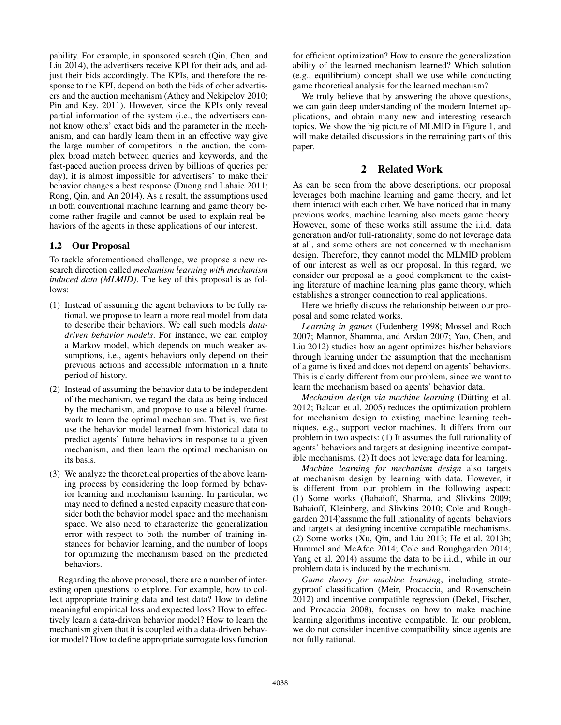pability. For example, in sponsored search (Qin, Chen, and Liu 2014), the advertisers receive KPI for their ads, and adjust their bids accordingly. The KPIs, and therefore the response to the KPI, depend on both the bids of other advertisers and the auction mechanism (Athey and Nekipelov 2010; Pin and Key. 2011). However, since the KPIs only reveal partial information of the system (i.e., the advertisers cannot know others' exact bids and the parameter in the mechanism, and can hardly learn them in an effective way give the large number of competitors in the auction, the complex broad match between queries and keywords, and the fast-paced auction process driven by billions of queries per day), it is almost impossible for advertisers' to make their behavior changes a best response (Duong and Lahaie 2011; Rong, Qin, and An 2014). As a result, the assumptions used in both conventional machine learning and game theory become rather fragile and cannot be used to explain real behaviors of the agents in these applications of our interest.

## 1.2 Our Proposal

To tackle aforementioned challenge, we propose a new research direction called *mechanism learning with mechanism induced data (MLMID)*. The key of this proposal is as follows:

- (1) Instead of assuming the agent behaviors to be fully rational, we propose to learn a more real model from data to describe their behaviors. We call such models *datadriven behavior models*. For instance, we can employ a Markov model, which depends on much weaker assumptions, i.e., agents behaviors only depend on their previous actions and accessible information in a finite period of history.
- (2) Instead of assuming the behavior data to be independent of the mechanism, we regard the data as being induced by the mechanism, and propose to use a bilevel framework to learn the optimal mechanism. That is, we first use the behavior model learned from historical data to predict agents' future behaviors in response to a given mechanism, and then learn the optimal mechanism on its basis.
- (3) We analyze the theoretical properties of the above learning process by considering the loop formed by behavior learning and mechanism learning. In particular, we may need to defined a nested capacity measure that consider both the behavior model space and the mechanism space. We also need to characterize the generalization error with respect to both the number of training instances for behavior learning, and the number of loops for optimizing the mechanism based on the predicted behaviors.

Regarding the above proposal, there are a number of interesting open questions to explore. For example, how to collect appropriate training data and test data? How to define meaningful empirical loss and expected loss? How to effectively learn a data-driven behavior model? How to learn the mechanism given that it is coupled with a data-driven behavior model? How to define appropriate surrogate loss function

for efficient optimization? How to ensure the generalization ability of the learned mechanism learned? Which solution (e.g., equilibrium) concept shall we use while conducting game theoretical analysis for the learned mechanism?

We truly believe that by answering the above questions, we can gain deep understanding of the modern Internet applications, and obtain many new and interesting research topics. We show the big picture of MLMID in Figure 1, and will make detailed discussions in the remaining parts of this paper.

### 2 Related Work

As can be seen from the above descriptions, our proposal leverages both machine learning and game theory, and let them interact with each other. We have noticed that in many previous works, machine learning also meets game theory. However, some of these works still assume the i.i.d. data generation and/or full-rationality; some do not leverage data at all, and some others are not concerned with mechanism design. Therefore, they cannot model the MLMID problem of our interest as well as our proposal. In this regard, we consider our proposal as a good complement to the existing literature of machine learning plus game theory, which establishes a stronger connection to real applications.

Here we briefly discuss the relationship between our proposal and some related works.

*Learning in games* (Fudenberg 1998; Mossel and Roch 2007; Mannor, Shamma, and Arslan 2007; Yao, Chen, and Liu 2012) studies how an agent optimizes his/her behaviors through learning under the assumption that the mechanism of a game is fixed and does not depend on agents' behaviors. This is clearly different from our problem, since we want to learn the mechanism based on agents' behavior data.

*Mechanism design via machine learning* (Dütting et al. 2012; Balcan et al. 2005) reduces the optimization problem for mechanism design to existing machine learning techniques, e.g., support vector machines. It differs from our problem in two aspects: (1) It assumes the full rationality of agents' behaviors and targets at designing incentive compatible mechanisms. (2) It does not leverage data for learning.

*Machine learning for mechanism design* also targets at mechanism design by learning with data. However, it is different from our problem in the following aspect: (1) Some works (Babaioff, Sharma, and Slivkins 2009; Babaioff, Kleinberg, and Slivkins 2010; Cole and Roughgarden 2014)assume the full rationality of agents' behaviors and targets at designing incentive compatible mechanisms. (2) Some works (Xu, Qin, and Liu 2013; He et al. 2013b; Hummel and McAfee 2014; Cole and Roughgarden 2014; Yang et al. 2014) assume the data to be i.i.d., while in our problem data is induced by the mechanism.

*Game theory for machine learning*, including strategyproof classification (Meir, Procaccia, and Rosenschein 2012) and incentive compatible regression (Dekel, Fischer, and Procaccia 2008), focuses on how to make machine learning algorithms incentive compatible. In our problem, we do not consider incentive compatibility since agents are not fully rational.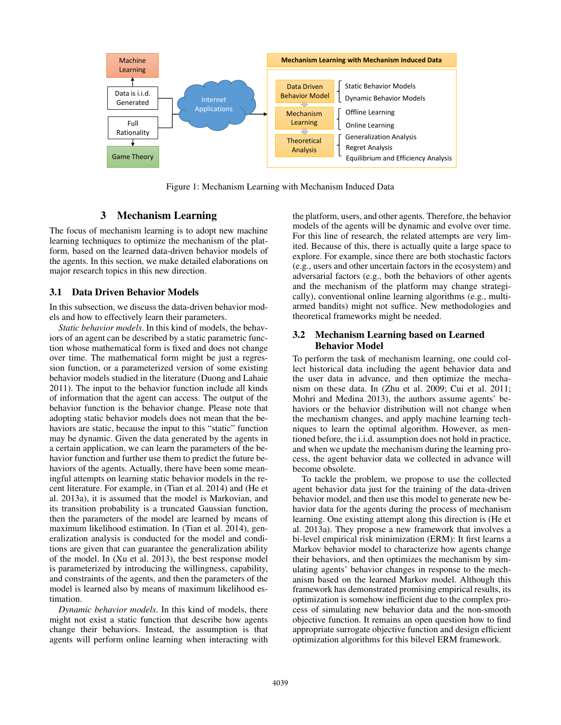

Figure 1: Mechanism Learning with Mechanism Induced Data

## 3 Mechanism Learning

The focus of mechanism learning is to adopt new machine learning techniques to optimize the mechanism of the platform, based on the learned data-driven behavior models of the agents. In this section, we make detailed elaborations on major research topics in this new direction.

### 3.1 Data Driven Behavior Models

In this subsection, we discuss the data-driven behavior models and how to effectively learn their parameters.

*Static behavior models*. In this kind of models, the behaviors of an agent can be described by a static parametric function whose mathematical form is fixed and does not change over time. The mathematical form might be just a regression function, or a parameterized version of some existing behavior models studied in the literature (Duong and Lahaie 2011). The input to the behavior function include all kinds of information that the agent can access. The output of the behavior function is the behavior change. Please note that adopting static behavior models does not mean that the behaviors are static, because the input to this "static" function may be dynamic. Given the data generated by the agents in a certain application, we can learn the parameters of the behavior function and further use them to predict the future behaviors of the agents. Actually, there have been some meaningful attempts on learning static behavior models in the recent literature. For example, in (Tian et al. 2014) and (He et al. 2013a), it is assumed that the model is Markovian, and its transition probability is a truncated Gaussian function, then the parameters of the model are learned by means of maximum likelihood estimation. In (Tian et al. 2014), generalization analysis is conducted for the model and conditions are given that can guarantee the generalization ability of the model. In (Xu et al. 2013), the best response model is parameterized by introducing the willingness, capability, and constraints of the agents, and then the parameters of the model is learned also by means of maximum likelihood estimation.

*Dynamic behavior models*. In this kind of models, there might not exist a static function that describe how agents change their behaviors. Instead, the assumption is that agents will perform online learning when interacting with the platform, users, and other agents. Therefore, the behavior models of the agents will be dynamic and evolve over time. For this line of research, the related attempts are very limited. Because of this, there is actually quite a large space to explore. For example, since there are both stochastic factors (e.g., users and other uncertain factors in the ecosystem) and adversarial factors (e.g., both the behaviors of other agents and the mechanism of the platform may change strategically), conventional online learning algorithms (e.g., multiarmed bandits) might not suffice. New methodologies and theoretical frameworks might be needed.

#### 3.2 Mechanism Learning based on Learned Behavior Model

To perform the task of mechanism learning, one could collect historical data including the agent behavior data and the user data in advance, and then optimize the mechanism on these data. In (Zhu et al. 2009; Cui et al. 2011; Mohri and Medina 2013), the authors assume agents' behaviors or the behavior distribution will not change when the mechanism changes, and apply machine learning techniques to learn the optimal algorithm. However, as mentioned before, the i.i.d. assumption does not hold in practice, and when we update the mechanism during the learning process, the agent behavior data we collected in advance will become obsolete.

To tackle the problem, we propose to use the collected agent behavior data just for the training of the data-driven behavior model, and then use this model to generate new behavior data for the agents during the process of mechanism learning. One existing attempt along this direction is (He et al. 2013a). They propose a new framework that involves a bi-level empirical risk minimization (ERM): It first learns a Markov behavior model to characterize how agents change their behaviors, and then optimizes the mechanism by simulating agents' behavior changes in response to the mechanism based on the learned Markov model. Although this framework has demonstrated promising empirical results, its optimization is somehow inefficient due to the complex process of simulating new behavior data and the non-smooth objective function. It remains an open question how to find appropriate surrogate objective function and design efficient optimization algorithms for this bilevel ERM framework.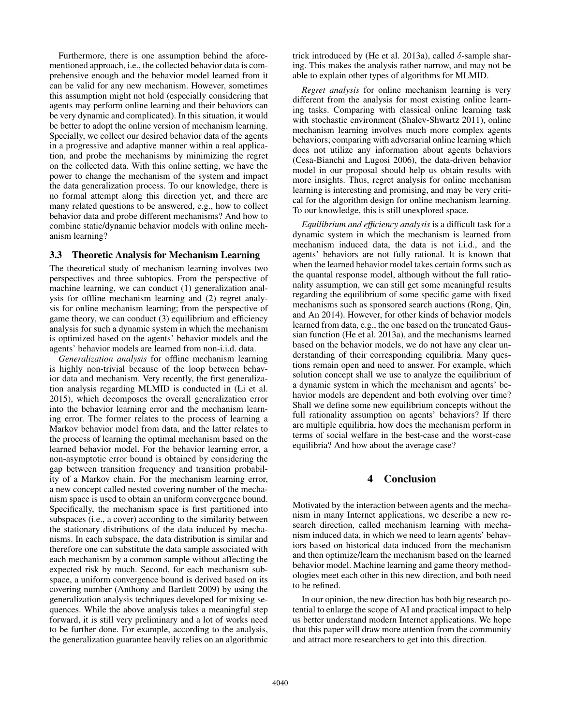Furthermore, there is one assumption behind the aforementioned approach, i.e., the collected behavior data is comprehensive enough and the behavior model learned from it can be valid for any new mechanism. However, sometimes this assumption might not hold (especially considering that agents may perform online learning and their behaviors can be very dynamic and complicated). In this situation, it would be better to adopt the online version of mechanism learning. Specially, we collect our desired behavior data of the agents in a progressive and adaptive manner within a real application, and probe the mechanisms by minimizing the regret on the collected data. With this online setting, we have the power to change the mechanism of the system and impact the data generalization process. To our knowledge, there is no formal attempt along this direction yet, and there are many related questions to be answered, e.g., how to collect behavior data and probe different mechanisms? And how to combine static/dynamic behavior models with online mechanism learning?

#### 3.3 Theoretic Analysis for Mechanism Learning

The theoretical study of mechanism learning involves two perspectives and three subtopics. From the perspective of machine learning, we can conduct (1) generalization analysis for offline mechanism learning and (2) regret analysis for online mechanism learning; from the perspective of game theory, we can conduct (3) equilibrium and efficiency analysis for such a dynamic system in which the mechanism is optimized based on the agents' behavior models and the agents' behavior models are learned from non-i.i.d. data.

*Generalization analysis* for offline mechanism learning is highly non-trivial because of the loop between behavior data and mechanism. Very recently, the first generalization analysis regarding MLMID is conducted in (Li et al. 2015), which decomposes the overall generalization error into the behavior learning error and the mechanism learning error. The former relates to the process of learning a Markov behavior model from data, and the latter relates to the process of learning the optimal mechanism based on the learned behavior model. For the behavior learning error, a non-asymptotic error bound is obtained by considering the gap between transition frequency and transition probability of a Markov chain. For the mechanism learning error, a new concept called nested covering number of the mechanism space is used to obtain an uniform convergence bound. Specifically, the mechanism space is first partitioned into subspaces (i.e., a cover) according to the similarity between the stationary distributions of the data induced by mechanisms. In each subspace, the data distribution is similar and therefore one can substitute the data sample associated with each mechanism by a common sample without affecting the expected risk by much. Second, for each mechanism subspace, a uniform convergence bound is derived based on its covering number (Anthony and Bartlett 2009) by using the generalization analysis techniques developed for mixing sequences. While the above analysis takes a meaningful step forward, it is still very preliminary and a lot of works need to be further done. For example, according to the analysis, the generalization guarantee heavily relies on an algorithmic trick introduced by (He et al. 2013a), called  $\delta$ -sample sharing. This makes the analysis rather narrow, and may not be able to explain other types of algorithms for MLMID.

*Regret analysis* for online mechanism learning is very different from the analysis for most existing online learning tasks. Comparing with classical online learning task with stochastic environment (Shalev-Shwartz 2011), online mechanism learning involves much more complex agents behaviors; comparing with adversarial online learning which does not utilize any information about agents behaviors (Cesa-Bianchi and Lugosi 2006), the data-driven behavior model in our proposal should help us obtain results with more insights. Thus, regret analysis for online mechanism learning is interesting and promising, and may be very critical for the algorithm design for online mechanism learning. To our knowledge, this is still unexplored space.

*Equilibrium and efficiency analysis* is a difficult task for a dynamic system in which the mechanism is learned from mechanism induced data, the data is not i.i.d., and the agents' behaviors are not fully rational. It is known that when the learned behavior model takes certain forms such as the quantal response model, although without the full rationality assumption, we can still get some meaningful results regarding the equilibrium of some specific game with fixed mechanisms such as sponsored search auctions (Rong, Qin, and An 2014). However, for other kinds of behavior models learned from data, e.g., the one based on the truncated Gaussian function (He et al. 2013a), and the mechanisms learned based on the behavior models, we do not have any clear understanding of their corresponding equilibria. Many questions remain open and need to answer. For example, which solution concept shall we use to analyze the equilibrium of a dynamic system in which the mechanism and agents' behavior models are dependent and both evolving over time? Shall we define some new equilibrium concepts without the full rationality assumption on agents' behaviors? If there are multiple equilibria, how does the mechanism perform in terms of social welfare in the best-case and the worst-case equilibria? And how about the average case?

## 4 Conclusion

Motivated by the interaction between agents and the mechanism in many Internet applications, we describe a new research direction, called mechanism learning with mechanism induced data, in which we need to learn agents' behaviors based on historical data induced from the mechanism and then optimize/learn the mechanism based on the learned behavior model. Machine learning and game theory methodologies meet each other in this new direction, and both need to be refined.

In our opinion, the new direction has both big research potential to enlarge the scope of AI and practical impact to help us better understand modern Internet applications. We hope that this paper will draw more attention from the community and attract more researchers to get into this direction.